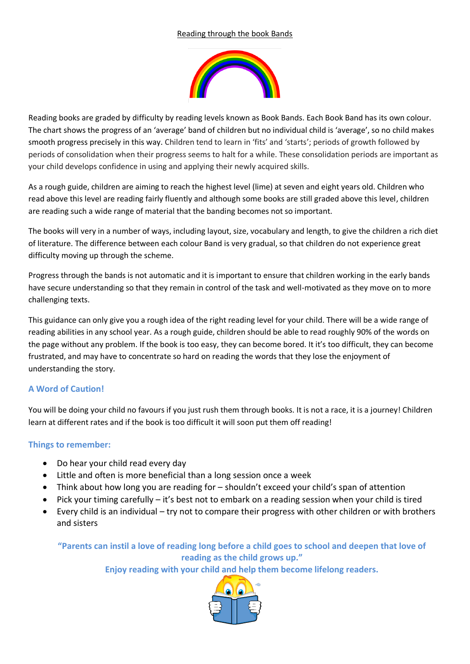## Reading through the book Bands



Reading books are graded by difficulty by reading levels known as Book Bands. Each Book Band has its own colour. The chart shows the progress of an 'average' band of children but no individual child is 'average', so no child makes smooth progress precisely in this way. Children tend to learn in 'fits' and 'starts'; periods of growth followed by periods of consolidation when their progress seems to halt for a while. These consolidation periods are important as your child develops confidence in using and applying their newly acquired skills.

As a rough guide, children are aiming to reach the highest level (lime) at seven and eight years old. Children who read above this level are reading fairly fluently and although some books are still graded above this level, children are reading such a wide range of material that the banding becomes not so important.

The books will very in a number of ways, including layout, size, vocabulary and length, to give the children a rich diet of literature. The difference between each colour Band is very gradual, so that children do not experience great difficulty moving up through the scheme.

Progress through the bands is not automatic and it is important to ensure that children working in the early bands have secure understanding so that they remain in control of the task and well-motivated as they move on to more challenging texts.

This guidance can only give you a rough idea of the right reading level for your child. There will be a wide range of reading abilities in any school year. As a rough guide, children should be able to read roughly 90% of the words on the page without any problem. If the book is too easy, they can become bored. It it's too difficult, they can become frustrated, and may have to concentrate so hard on reading the words that they lose the enjoyment of understanding the story.

## **A Word of Caution!**

You will be doing your child no favours if you just rush them through books. It is not a race, it is a journey! Children learn at different rates and if the book is too difficult it will soon put them off reading!

## **Things to remember:**

- Do hear your child read every day
- Little and often is more beneficial than a long session once a week
- Think about how long you are reading for shouldn't exceed your child's span of attention
- Pick your timing carefully it's best not to embark on a reading session when your child is tired
- Every child is an individual try not to compare their progress with other children or with brothers and sisters

**"Parents can instil a love of reading long before a child goes to school and deepen that love of reading as the child grows up."**

**Enjoy reading with your child and help them become lifelong readers.**

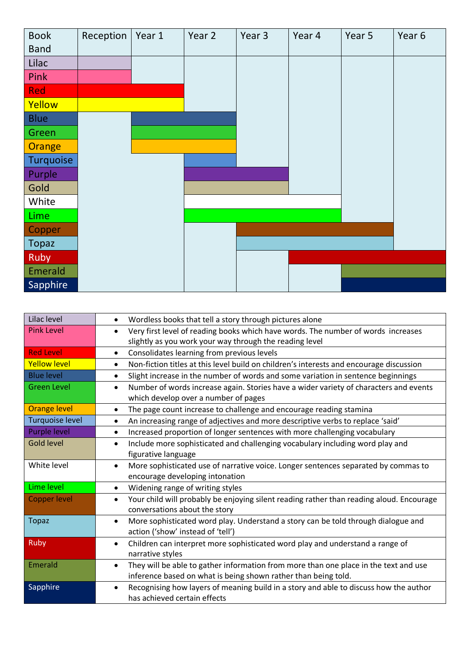

| Lilac level            | Wordless books that tell a story through pictures alone<br>$\bullet$                                  |
|------------------------|-------------------------------------------------------------------------------------------------------|
| <b>Pink Level</b>      | Very first level of reading books which have words. The number of words increases<br>$\bullet$        |
|                        | slightly as you work your way through the reading level                                               |
| <b>Red Level</b>       | Consolidates learning from previous levels<br>$\bullet$                                               |
| <b>Yellow level</b>    | Non-fiction titles at this level build on children's interests and encourage discussion<br>$\bullet$  |
| <b>Blue level</b>      | Slight increase in the number of words and some variation in sentence beginnings<br>$\bullet$         |
| <b>Green Level</b>     | Number of words increase again. Stories have a wider variety of characters and events<br>$\bullet$    |
|                        | which develop over a number of pages                                                                  |
| <b>Orange level</b>    | The page count increase to challenge and encourage reading stamina<br>$\bullet$                       |
| <b>Turquoise level</b> | An increasing range of adjectives and more descriptive verbs to replace 'said'<br>٠                   |
| <b>Purple level</b>    | Increased proportion of longer sentences with more challenging vocabulary<br>$\bullet$                |
| <b>Gold level</b>      | Include more sophisticated and challenging vocabulary including word play and<br>$\bullet$            |
|                        | figurative language                                                                                   |
| White level            | More sophisticated use of narrative voice. Longer sentences separated by commas to<br>$\bullet$       |
|                        | encourage developing intonation                                                                       |
| Lime level             | Widening range of writing styles<br>$\bullet$                                                         |
| <b>Copper level</b>    | Your child will probably be enjoying silent reading rather than reading aloud. Encourage<br>$\bullet$ |
|                        | conversations about the story                                                                         |
| <b>Topaz</b>           | More sophisticated word play. Understand a story can be told through dialogue and<br>$\bullet$        |
|                        | action ('show' instead of 'tell')                                                                     |
| <b>Ruby</b>            | Children can interpret more sophisticated word play and understand a range of<br>$\bullet$            |
|                        | narrative styles                                                                                      |
| Emerald                | They will be able to gather information from more than one place in the text and use<br>$\bullet$     |
|                        | inference based on what is being shown rather than being told.                                        |
| Sapphire               | Recognising how layers of meaning build in a story and able to discuss how the author<br>$\bullet$    |
|                        | has achieved certain effects                                                                          |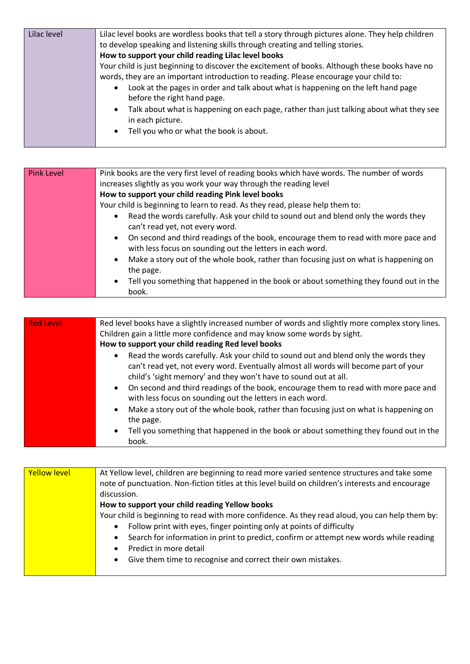| Lilac level | Lilac level books are wordless books that tell a story through pictures alone. They help children                             |
|-------------|-------------------------------------------------------------------------------------------------------------------------------|
|             | to develop speaking and listening skills through creating and telling stories.                                                |
|             | How to support your child reading Lilac level books                                                                           |
|             | Your child is just beginning to discover the excitement of books. Although these books have no                                |
|             | words, they are an important introduction to reading. Please encourage your child to:                                         |
|             | Look at the pages in order and talk about what is happening on the left hand page<br>$\bullet$<br>before the right hand page. |
|             | Talk about what is happening on each page, rather than just talking about what they see<br>$\bullet$<br>in each picture.      |
|             | Tell you who or what the book is about.<br>$\bullet$                                                                          |

| <b>Pink Level</b> | Pink books are the very first level of reading books which have words. The number of words                                                                    |
|-------------------|---------------------------------------------------------------------------------------------------------------------------------------------------------------|
|                   | increases slightly as you work your way through the reading level                                                                                             |
|                   | How to support your child reading Pink level books                                                                                                            |
|                   | Your child is beginning to learn to read. As they read, please help them to:                                                                                  |
|                   | Read the words carefully. Ask your child to sound out and blend only the words they<br>$\bullet$<br>can't read yet, not every word.                           |
|                   | On second and third readings of the book, encourage them to read with more pace and<br>$\bullet$<br>with less focus on sounding out the letters in each word. |
|                   | Make a story out of the whole book, rather than focusing just on what is happening on<br>$\bullet$<br>the page.                                               |
|                   | Tell you something that happened in the book or about something they found out in the<br>$\bullet$<br>book.                                                   |

| <b>Red Level</b> | Red level books have a slightly increased number of words and slightly more complex story lines.                                                                                                                                                            |
|------------------|-------------------------------------------------------------------------------------------------------------------------------------------------------------------------------------------------------------------------------------------------------------|
|                  | Children gain a little more confidence and may know some words by sight.                                                                                                                                                                                    |
|                  | How to support your child reading Red level books                                                                                                                                                                                                           |
|                  | Read the words carefully. Ask your child to sound out and blend only the words they<br>$\bullet$<br>can't read yet, not every word. Eventually almost all words will become part of your<br>child's 'sight memory' and they won't have to sound out at all. |
|                  | On second and third readings of the book, encourage them to read with more pace and<br>$\bullet$<br>with less focus on sounding out the letters in each word.                                                                                               |
|                  | Make a story out of the whole book, rather than focusing just on what is happening on<br>$\bullet$<br>the page.                                                                                                                                             |
|                  | Tell you something that happened in the book or about something they found out in the<br>$\bullet$<br>book.                                                                                                                                                 |

| <b>Yellow level</b> | At Yellow level, children are beginning to read more varied sentence structures and take some       |
|---------------------|-----------------------------------------------------------------------------------------------------|
|                     | note of punctuation. Non-fiction titles at this level build on children's interests and encourage   |
|                     | discussion.                                                                                         |
|                     | How to support your child reading Yellow books                                                      |
|                     | Your child is beginning to read with more confidence. As they read aloud, you can help them by:     |
|                     | Follow print with eyes, finger pointing only at points of difficulty<br>$\bullet$                   |
|                     | Search for information in print to predict, confirm or attempt new words while reading<br>$\bullet$ |
|                     | Predict in more detail<br>$\bullet$                                                                 |
|                     | Give them time to recognise and correct their own mistakes.<br>$\bullet$                            |
|                     |                                                                                                     |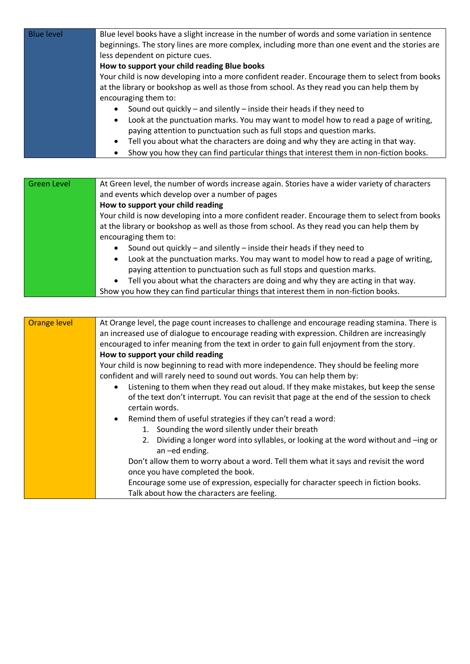| <b>Blue level</b>   | Blue level books have a slight increase in the number of words and some variation in sentence    |
|---------------------|--------------------------------------------------------------------------------------------------|
|                     | beginnings. The story lines are more complex, including more than one event and the stories are  |
|                     | less dependent on picture cues.                                                                  |
|                     | How to support your child reading Blue books                                                     |
|                     | Your child is now developing into a more confident reader. Encourage them to select from books   |
|                     | at the library or bookshop as well as those from school. As they read you can help them by       |
|                     | encouraging them to:                                                                             |
|                     | Sound out quickly - and silently - inside their heads if they need to                            |
|                     | Look at the punctuation marks. You may want to model how to read a page of writing,<br>٠         |
|                     | paying attention to punctuation such as full stops and question marks.                           |
|                     | Tell you about what the characters are doing and why they are acting in that way.                |
|                     | Show you how they can find particular things that interest them in non-fiction books.            |
|                     |                                                                                                  |
|                     |                                                                                                  |
| <b>Green Level</b>  | At Green level, the number of words increase again. Stories have a wider variety of characters   |
|                     | and events which develop over a number of pages                                                  |
|                     | How to support your child reading                                                                |
|                     | Your child is now developing into a more confident reader. Encourage them to select from books   |
|                     | at the library or bookshop as well as those from school. As they read you can help them by       |
|                     | encouraging them to:                                                                             |
|                     | Sound out quickly - and silently - inside their heads if they need to<br>$\bullet$               |
|                     | Look at the punctuation marks. You may want to model how to read a page of writing,<br>$\bullet$ |
|                     | paying attention to punctuation such as full stops and question marks.                           |
|                     | Tell you about what the characters are doing and why they are acting in that way.                |
|                     | Show you how they can find particular things that interest them in non-fiction books.            |
|                     |                                                                                                  |
|                     |                                                                                                  |
| <b>Orange level</b> | At Orange level, the page count increases to challenge and encourage reading stamina. There is   |
|                     | an increased use of dialogue to encourage reading with expression. Children are increasingly     |
|                     | encouraged to infer meaning from the text in order to gain full enjoyment from the story.        |
|                     | How to support your child reading                                                                |
|                     | Your child is now beginning to read with more independence. They should be feeling more          |
|                     | confident and will rarely need to sound out words. You can help them by:                         |

- Listening to them when they read out aloud. If they make mistakes, but keep the sense of the text don't interrupt. You can revisit that page at the end of the session to check certain words.
- Remind them of useful strategies if they can't read a word:
	- 1. Sounding the word silently under their breath
	- 2. Dividing a longer word into syllables, or looking at the word without and –ing or an –ed ending.

Don't allow them to worry about a word. Tell them what it says and revisit the word once you have completed the book.

Encourage some use of expression, especially for character speech in fiction books. Talk about how the characters are feeling.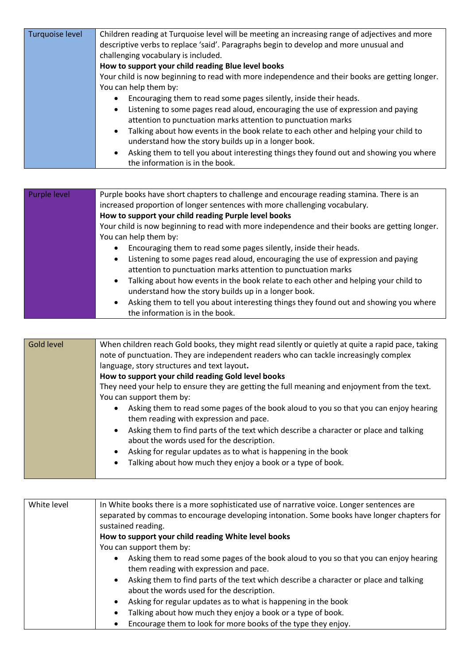| Turquoise level | Children reading at Turquoise level will be meeting an increasing range of adjectives and more     |
|-----------------|----------------------------------------------------------------------------------------------------|
|                 | descriptive verbs to replace 'said'. Paragraphs begin to develop and more unusual and              |
|                 | challenging vocabulary is included.                                                                |
|                 | How to support your child reading Blue level books                                                 |
|                 | Your child is now beginning to read with more independence and their books are getting longer.     |
|                 | You can help them by:                                                                              |
|                 | Encouraging them to read some pages silently, inside their heads.<br>$\bullet$                     |
|                 | Listening to some pages read aloud, encouraging the use of expression and paying<br>$\bullet$      |
|                 | attention to punctuation marks attention to punctuation marks                                      |
|                 | Talking about how events in the book relate to each other and helping your child to<br>$\bullet$   |
|                 | understand how the story builds up in a longer book.                                               |
|                 | Asking them to tell you about interesting things they found out and showing you where<br>$\bullet$ |
|                 | the information is in the book.                                                                    |

L

| Purple level | Purple books have short chapters to challenge and encourage reading stamina. There is an<br>increased proportion of longer sentences with more challenging vocabulary. |
|--------------|------------------------------------------------------------------------------------------------------------------------------------------------------------------------|
|              | How to support your child reading Purple level books                                                                                                                   |
|              | Your child is now beginning to read with more independence and their books are getting longer.                                                                         |
|              | You can help them by:                                                                                                                                                  |
|              | Encouraging them to read some pages silently, inside their heads.<br>$\bullet$                                                                                         |
|              | Listening to some pages read aloud, encouraging the use of expression and paying<br>$\bullet$<br>attention to punctuation marks attention to punctuation marks         |
|              | Talking about how events in the book relate to each other and helping your child to<br>$\bullet$<br>understand how the story builds up in a longer book.               |
|              | Asking them to tell you about interesting things they found out and showing you where<br>$\bullet$<br>the information is in the book.                                  |

| <b>Gold level</b> | When children reach Gold books, they might read silently or quietly at quite a rapid pace, taking<br>note of punctuation. They are independent readers who can tackle increasingly complex |
|-------------------|--------------------------------------------------------------------------------------------------------------------------------------------------------------------------------------------|
|                   | language, story structures and text layout.                                                                                                                                                |
|                   | How to support your child reading Gold level books                                                                                                                                         |
|                   | They need your help to ensure they are getting the full meaning and enjoyment from the text.                                                                                               |
|                   | You can support them by:                                                                                                                                                                   |
|                   | Asking them to read some pages of the book aloud to you so that you can enjoy hearing<br>$\bullet$<br>them reading with expression and pace.                                               |
|                   | Asking them to find parts of the text which describe a character or place and talking<br>$\bullet$<br>about the words used for the description.                                            |
|                   | Asking for regular updates as to what is happening in the book<br>$\bullet$<br>Talking about how much they enjoy a book or a type of book.<br>$\bullet$                                    |
|                   |                                                                                                                                                                                            |

| White level | In White books there is a more sophisticated use of narrative voice. Longer sentences are<br>separated by commas to encourage developing intonation. Some books have longer chapters for<br>sustained reading. |
|-------------|----------------------------------------------------------------------------------------------------------------------------------------------------------------------------------------------------------------|
|             | How to support your child reading White level books                                                                                                                                                            |
|             | You can support them by:                                                                                                                                                                                       |
|             | Asking them to read some pages of the book aloud to you so that you can enjoy hearing<br>$\bullet$<br>them reading with expression and pace.                                                                   |
|             | Asking them to find parts of the text which describe a character or place and talking<br>$\bullet$<br>about the words used for the description.                                                                |
|             | Asking for regular updates as to what is happening in the book<br>$\bullet$                                                                                                                                    |
|             | Talking about how much they enjoy a book or a type of book.<br>$\bullet$                                                                                                                                       |
|             | Encourage them to look for more books of the type they enjoy.<br>٠                                                                                                                                             |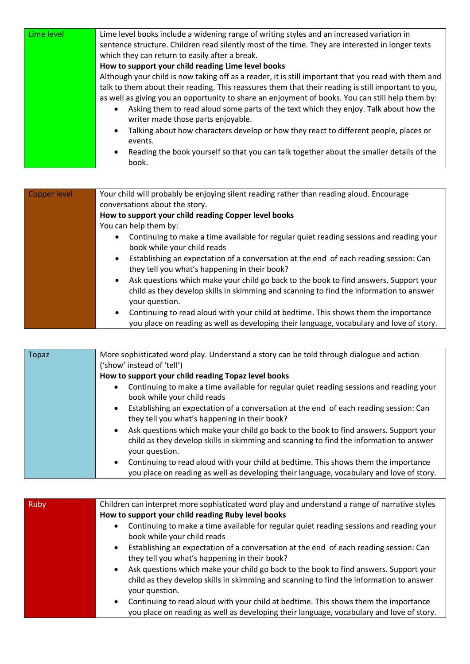| Lime level | Lime level books include a widening range of writing styles and an increased variation in                                   |
|------------|-----------------------------------------------------------------------------------------------------------------------------|
|            | sentence structure. Children read silently most of the time. They are interested in longer texts                            |
|            | which they can return to easily after a break.                                                                              |
|            | How to support your child reading Lime level books                                                                          |
|            | Although your child is now taking off as a reader, it is still important that you read with them and                        |
|            | talk to them about their reading. This reassures them that their reading is still important to you,                         |
|            | as well as giving you an opportunity to share an enjoyment of books. You can still help them by:                            |
|            | Asking them to read aloud some parts of the text which they enjoy. Talk about how the<br>writer made those parts enjoyable. |
|            | Talking about how characters develop or how they react to different people, places or<br>$\bullet$<br>events.               |
|            | Reading the book yourself so that you can talk together about the smaller details of the<br>$\bullet$<br>book.              |

| Copper level | Your child will probably be enjoying silent reading rather than reading aloud. Encourage                                                                                                                        |
|--------------|-----------------------------------------------------------------------------------------------------------------------------------------------------------------------------------------------------------------|
|              | conversations about the story.                                                                                                                                                                                  |
|              | How to support your child reading Copper level books                                                                                                                                                            |
|              | You can help them by:                                                                                                                                                                                           |
|              | Continuing to make a time available for regular quiet reading sessions and reading your<br>٠<br>book while your child reads                                                                                     |
|              | Establishing an expectation of a conversation at the end of each reading session: Can<br>$\bullet$<br>they tell you what's happening in their book?                                                             |
|              | Ask questions which make your child go back to the book to find answers. Support your<br>$\bullet$<br>child as they develop skills in skimming and scanning to find the information to answer<br>your question. |
|              | Continuing to read aloud with your child at bedtime. This shows them the importance<br>٠<br>you place on reading as well as developing their language, vocabulary and love of story.                            |

| Topaz | More sophisticated word play. Understand a story can be told through dialogue and action<br>('show' instead of 'tell')                                                                                          |
|-------|-----------------------------------------------------------------------------------------------------------------------------------------------------------------------------------------------------------------|
|       | How to support your child reading Topaz level books                                                                                                                                                             |
|       | Continuing to make a time available for regular quiet reading sessions and reading your<br>$\bullet$<br>book while your child reads                                                                             |
|       | Establishing an expectation of a conversation at the end of each reading session: Can<br>$\bullet$<br>they tell you what's happening in their book?                                                             |
|       | Ask questions which make your child go back to the book to find answers. Support your<br>$\bullet$<br>child as they develop skills in skimming and scanning to find the information to answer<br>your question. |
|       | Continuing to read aloud with your child at bedtime. This shows them the importance<br>$\bullet$<br>you place on reading as well as developing their language, vocabulary and love of story.                    |

| Ruby | Children can interpret more sophisticated word play and understand a range of narrative styles     |
|------|----------------------------------------------------------------------------------------------------|
|      | How to support your child reading Ruby level books                                                 |
|      | Continuing to make a time available for regular quiet reading sessions and reading your<br>٠       |
|      | book while your child reads                                                                        |
|      | Establishing an expectation of a conversation at the end of each reading session: Can<br>$\bullet$ |
|      | they tell you what's happening in their book?                                                      |
|      | Ask questions which make your child go back to the book to find answers. Support your<br>$\bullet$ |
|      | child as they develop skills in skimming and scanning to find the information to answer            |
|      | your question.                                                                                     |
|      | Continuing to read aloud with your child at bedtime. This shows them the importance<br>$\bullet$   |
|      | you place on reading as well as developing their language, vocabulary and love of story.           |